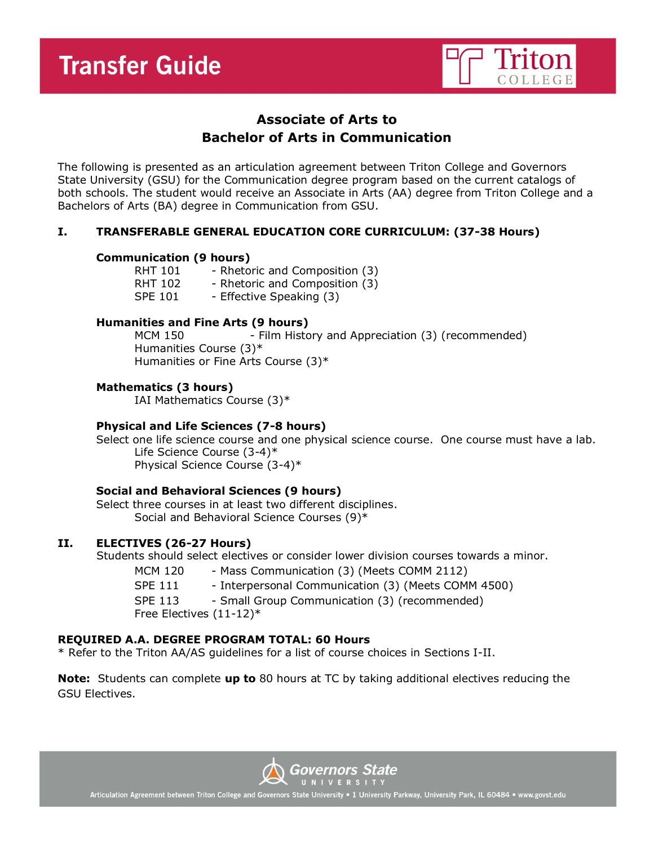

# **Associate of Arts to Bachelor of Arts in Communication**

The following is presented as an articulation agreement between Triton College and Governors State University (GSU) for the Communication degree program based on the current catalogs of both schools. The student would receive an Associate in Arts (AA) degree from Triton College and a Bachelors of Arts (BA) degree in Communication from GSU.

## **I. TRANSFERABLE GENERAL EDUCATION CORE CURRICULUM: (37-38 Hours)**

#### **Communication (9 hours)**

| <b>RHT 101</b> | - Rhetoric and Composition (3) |
|----------------|--------------------------------|
| <b>RHT 102</b> | - Rhetoric and Composition (3) |
| <b>SPE 101</b> | - Effective Speaking (3)       |

#### **Humanities and Fine Arts (9 hours)**

MCM 150 - Film History and Appreciation (3) (recommended) Humanities Course (3)\* Humanities or Fine Arts Course (3)\*

**Mathematics (3 hours)**

IAI Mathematics Course (3)\*

#### **Physical and Life Sciences (7-8 hours)**

Select one life science course and one physical science course. One course must have a lab. Life Science Course (3-4)\* Physical Science Course (3-4)\*

#### **Social and Behavioral Sciences (9 hours)**

Select three courses in at least two different disciplines. Social and Behavioral Science Courses (9)\*

## **II. ELECTIVES (26-27 Hours)**

Students should select electives or consider lower division courses towards a minor.

- MCM 120 Mass Communication (3) (Meets COMM 2112)
- SPE 111 Interpersonal Communication (3) (Meets COMM 4500)

SPE 113 - Small Group Communication (3) (recommended)

Free Electives (11-12)\*

# **REQUIRED A.A. DEGREE PROGRAM TOTAL: 60 Hours**

\* Refer to the Triton AA/AS guidelines for a list of course choices in Sections I-II.

**Note:** Students can complete **up to** 80 hours at TC by taking additional electives reducing the GSU Electives.



Articulation Agreement between Triton College and Governors State University • 1 University Parkway, University Park, IL 60484 • www.govst.edu